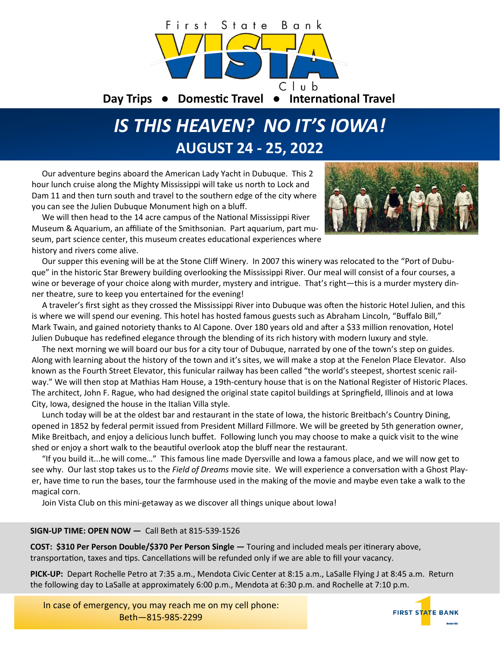

# *IS THIS HEAVEN? NO IT'S IOWA!* **AUGUST 24 - 25, 2022**

 Our adventure begins aboard the American Lady Yacht in Dubuque. This 2 hour lunch cruise along the Mighty Mississippi will take us north to Lock and Dam 11 and then turn south and travel to the southern edge of the city where you can see the Julien Dubuque Monument high on a bluff.

 We will then head to the 14 acre campus of the National Mississippi River Museum & Aquarium, an affiliate of the Smithsonian. Part aquarium, part museum, part science center, this museum creates educational experiences where history and rivers come alive.



 Our supper this evening will be at the Stone Cliff Winery. In 2007 this winery was relocated to the "Port of Dubuque" in the historic Star Brewery building overlooking the Mississippi River. Our meal will consist of a four courses, a wine or beverage of your choice along with murder, mystery and intrigue. That's right—this is a murder mystery dinner theatre, sure to keep you entertained for the evening!

 A traveler's first sight as they crossed the Mississippi River into Dubuque was often the historic Hotel Julien, and this is where we will spend our evening. This hotel has hosted famous guests such as Abraham Lincoln, "Buffalo Bill," Mark Twain, and gained notoriety thanks to Al Capone. Over 180 years old and after a \$33 million renovation, Hotel Julien Dubuque has redefined elegance through the blending of its rich history with modern luxury and style.

 The next morning we will board our bus for a city tour of Dubuque, narrated by one of the town's step on guides. Along with learning about the history of the town and it's sites, we will make a stop at the Fenelon Place Elevator. Also known as the Fourth Street Elevator, this funicular railway has been called "the world's steepest, shortest scenic railway." We will then stop at Mathias Ham House, a 19th-century house that is on the [National Register of Historic Places.](https://en.wikipedia.org/wiki/National_Register_of_Historic_Places) The architect, [John F. Rague,](https://en.wikipedia.org/wiki/John_F._Rague) who had designed the original state capitol buildings at [Springfield, Illinois](https://en.wikipedia.org/wiki/Springfield,_Illinois) and at [Iowa](https://en.wikipedia.org/wiki/Iowa_City,_Iowa)  [City, Iowa,](https://en.wikipedia.org/wiki/Iowa_City,_Iowa) designed the house in the [Italian Villa style.](https://en.wikipedia.org/wiki/Italian_Villa_style)

 Lunch today will be at the oldest bar and restaurant in the state of Iowa, the historic Breitbach's Country Dining, opened in 1852 by federal permit issued from President Millard Fillmore. We will be greeted by 5th generation owner, Mike Breitbach, and enjoy a delicious lunch buffet. Following lunch you may choose to make a quick visit to the wine shed or enjoy a short walk to the beautiful overlook atop the bluff near the restaurant.

 "If you build it...he will come…" This famous line made Dyersville and Iowa a famous place, and we will now get to see why. Our last stop takes us to the *Field of Dreams* movie site. We will experience a conversation with a Ghost Player, have time to run the bases, tour the farmhouse used in the making of the movie and maybe even take a walk to the magical corn.

Join Vista Club on this mini-getaway as we discover all things unique about Iowa!

## **SIGN-UP TIME: OPEN NOW —** Call Beth at 815-539-1526

**COST: \$310 Per Person Double/\$370 Per Person Single —** Touring and included meals per itinerary above, transportation, taxes and tips. Cancellations will be refunded only if we are able to fill your vacancy.

**PICK-UP:** Depart Rochelle Petro at 7:35 a.m., Mendota Civic Center at 8:15 a.m., LaSalle Flying J at 8:45 a.m. Return the following day to LaSalle at approximately 6:00 p.m., Mendota at 6:30 p.m. and Rochelle at 7:10 p.m.

In case of emergency, you may reach me on my cell phone: Beth—815-985-2299